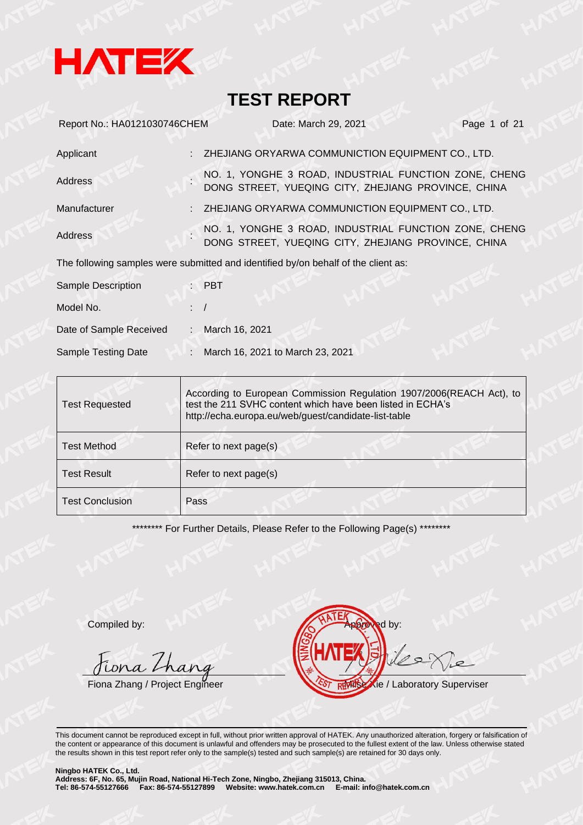

| Report No.: HA0121030746CHEM |                | Date: March 29, 2021                                                                                         | Page 1 of 21 |
|------------------------------|----------------|--------------------------------------------------------------------------------------------------------------|--------------|
| Applicant                    |                | ZHEJIANG ORYARWA COMMUNICTION EQUIPMENT CO., LTD.                                                            |              |
| Address                      |                | NO. 1, YONGHE 3 ROAD, INDUSTRIAL FUNCTION ZONE, CHENG<br>DONG STREET, YUEQING CITY, ZHEJIANG PROVINCE, CHINA |              |
| Manufacturer                 |                | ZHEJIANG ORYARWA COMMUNICTION EQUIPMENT CO., LTD.                                                            |              |
| Address                      |                | NO. 1, YONGHE 3 ROAD, INDUSTRIAL FUNCTION ZONE, CHENG<br>DONG STREET, YUEQING CITY, ZHEJIANG PROVINCE, CHINA |              |
|                              |                | The following samples were submitted and identified by/on behalf of the client as:                           |              |
| <b>Sample Description</b>    |                | $:$ PBT                                                                                                      |              |
| Model No.                    | $\therefore$ / |                                                                                                              |              |
| Date of Sample Received      | $\mathbb{Z}$   | March 16, 2021                                                                                               |              |
| Sample Testing Date          |                | March 16, 2021 to March 23, 2021                                                                             |              |

| <b>Test Requested</b>  | According to European Commission Regulation 1907/2006(REACH Act), to<br>test the 211 SVHC content which have been listed in ECHA's<br>http://echa.europa.eu/web/guest/candidate-list-table |  |  |
|------------------------|--------------------------------------------------------------------------------------------------------------------------------------------------------------------------------------------|--|--|
| <b>Test Method</b>     | Refer to next page(s)                                                                                                                                                                      |  |  |
| <b>Test Result</b>     | Refer to next page(s)                                                                                                                                                                      |  |  |
| <b>Test Conclusion</b> | Pass                                                                                                                                                                                       |  |  |

\*\*\*\*\*\*\*\*\* For Further Details, Please Refer to the Following Page(s) \*\*\*\*\*\*\*\*

Jiona Thang

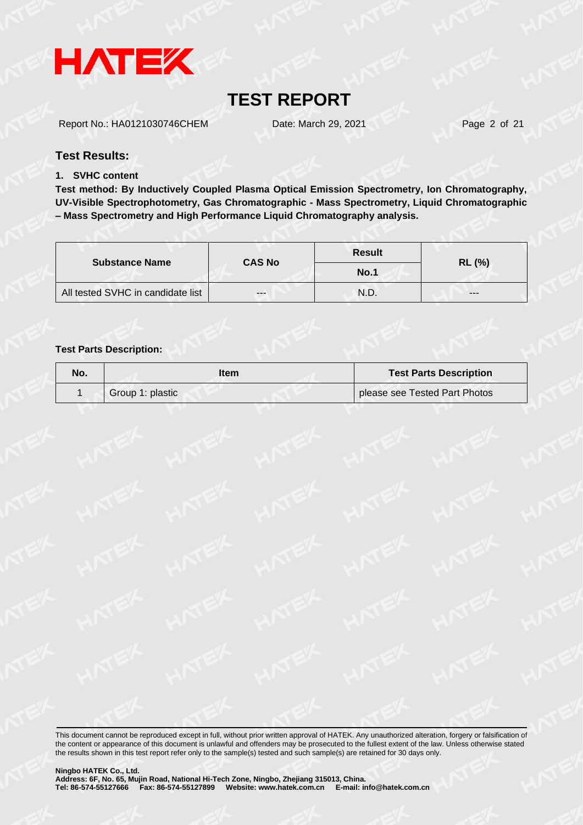

Report No.: HA0121030746CHEM Date: March 29, 2021 Page 2 of 21

#### **Test Results:**

#### **1. SVHC content**

**Test method: By Inductively Coupled Plasma Optical Emission Spectrometry, Ion Chromatography, UV-Visible Spectrophotometry, Gas Chromatographic - Mass Spectrometry, Liquid Chromatographic – Mass Spectrometry and High Performance Liquid Chromatography analysis.**

|                                   |               | <b>Result</b> |               |  |  |
|-----------------------------------|---------------|---------------|---------------|--|--|
| <b>Substance Name</b>             | <b>CAS No</b> | No.1          | <b>RL (%)</b> |  |  |
| All tested SVHC in candidate list | $- - -$       | N.D.          | ---           |  |  |

#### **Test Parts Description:**

| No. | ltem             | <b>Test Parts Description</b> |
|-----|------------------|-------------------------------|
|     | Group 1: plastic | please see Tested Part Photos |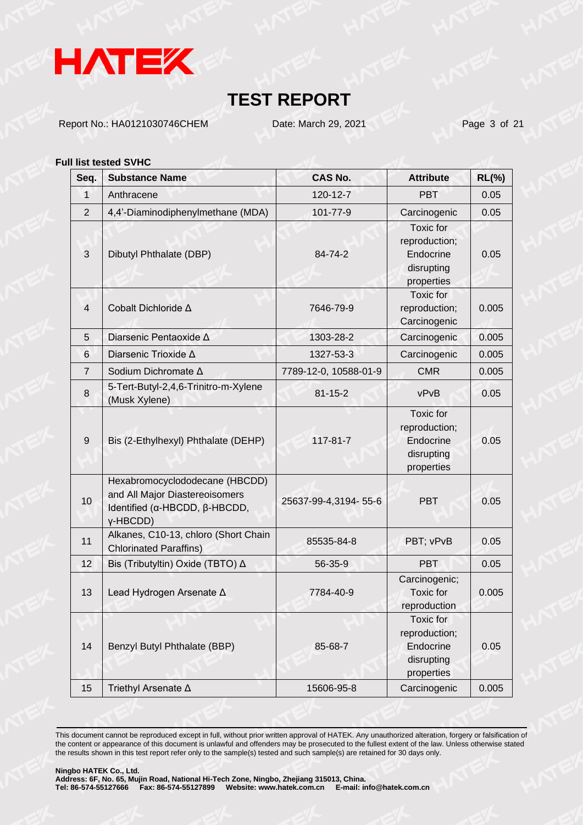

Report No.: HA0121030746CHEM Date: March 29, 2021 Page 3 of 21

#### **Full list tested SVHC**

| Seq.           | <b>Substance Name</b>                                                                                         | <b>CAS No.</b>        | <b>Attribute</b>                                                           | $RL(\%)$ |
|----------------|---------------------------------------------------------------------------------------------------------------|-----------------------|----------------------------------------------------------------------------|----------|
| $\mathbf{1}$   | Anthracene                                                                                                    | 120-12-7              | <b>PBT</b>                                                                 | 0.05     |
| $\overline{2}$ | 4,4'-Diaminodiphenylmethane (MDA)                                                                             | 101-77-9              | Carcinogenic                                                               | 0.05     |
| 3              | Dibutyl Phthalate (DBP)                                                                                       | 84-74-2               | Toxic for<br>reproduction;<br>Endocrine<br>disrupting<br>properties        | 0.05     |
| $\overline{4}$ | Cobalt Dichloride ∆                                                                                           | 7646-79-9             | Toxic for<br>reproduction;<br>Carcinogenic                                 | 0.005    |
| 5              | Diarsenic Pentaoxide A                                                                                        | 1303-28-2             | Carcinogenic                                                               | 0.005    |
| 6              | Diarsenic Trioxide ∆                                                                                          | 1327-53-3             | Carcinogenic                                                               | 0.005    |
| $\overline{7}$ | Sodium Dichromate ∆                                                                                           | 7789-12-0, 10588-01-9 | <b>CMR</b>                                                                 | 0.005    |
| 8              | 5-Tert-Butyl-2,4,6-Trinitro-m-Xylene<br>(Musk Xylene)                                                         | $81 - 15 - 2$         | vPvB                                                                       | 0.05     |
| 9              | Bis (2-Ethylhexyl) Phthalate (DEHP)                                                                           | 117-81-7              | <b>Toxic</b> for<br>reproduction;<br>Endocrine<br>disrupting<br>properties | 0.05     |
| 10             | Hexabromocyclododecane (HBCDD)<br>and All Major Diastereoisomers<br>Identified (α-HBCDD, β-HBCDD,<br>γ-HBCDD) | 25637-99-4,3194-55-6  | <b>PBT</b>                                                                 | 0.05     |
| 11             | Alkanes, C10-13, chloro (Short Chain<br><b>Chlorinated Paraffins)</b>                                         | 85535-84-8            | PBT; vPvB                                                                  | 0.05     |
| 12             | Bis (Tributyltin) Oxide (TBTO) ∆                                                                              | 56-35-9               | PBT                                                                        | 0.05     |
| 13             | Lead Hydrogen Arsenate A                                                                                      | 7784-40-9             | Carcinogenic;<br>Toxic for<br>reproduction                                 | 0.005    |
| 14             | Benzyl Butyl Phthalate (BBP)                                                                                  | 85-68-7               | Toxic for<br>reproduction;<br>Endocrine<br>disrupting<br>properties        | 0.05     |
| 15             | Triethyl Arsenate ∆                                                                                           | 15606-95-8            | Carcinogenic                                                               | 0.005    |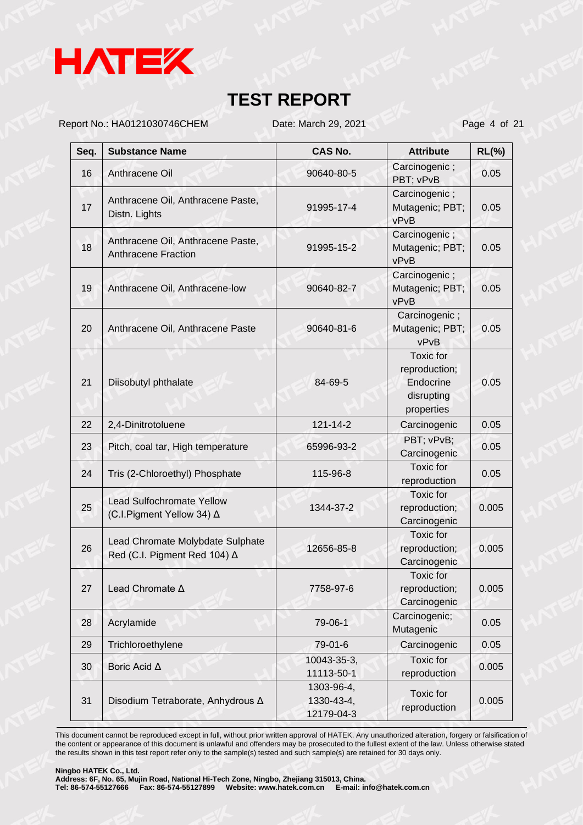

Report No.: HA0121030746CHEM Date: March 29, 2021 Page 4 of 21

| Seq. | <b>Substance Name</b>                                            | <b>CAS No.</b>                         | <b>Attribute</b>                                                           | $RL(\%)$ |
|------|------------------------------------------------------------------|----------------------------------------|----------------------------------------------------------------------------|----------|
| 16   | Anthracene Oil                                                   | 90640-80-5                             | Carcinogenic;<br>PBT; vPvB                                                 | 0.05     |
| 17   | Anthracene Oil, Anthracene Paste,<br>Distn. Lights               | 91995-17-4                             | Carcinogenic;<br>Mutagenic; PBT;<br>vPvB                                   | 0.05     |
| 18   | Anthracene Oil, Anthracene Paste,<br><b>Anthracene Fraction</b>  | 91995-15-2                             | Carcinogenic;<br>Mutagenic; PBT;<br>vPvB                                   | 0.05     |
| 19   | Anthracene Oil, Anthracene-low                                   | 90640-82-7                             | Carcinogenic;<br>Mutagenic; PBT;<br>vPvB                                   | 0.05     |
| 20   | Anthracene Oil, Anthracene Paste                                 | 90640-81-6                             | Carcinogenic;<br>Mutagenic; PBT;<br>vPvB                                   | 0.05     |
| 21   | Diisobutyl phthalate                                             | 84-69-5                                | <b>Toxic</b> for<br>reproduction;<br>Endocrine<br>disrupting<br>properties | 0.05     |
| 22   | 2,4-Dinitrotoluene                                               | 121-14-2                               | Carcinogenic                                                               | 0.05     |
| 23   | Pitch, coal tar, High temperature                                | 65996-93-2                             | PBT; vPvB;<br>Carcinogenic                                                 | 0.05     |
| 24   | Tris (2-Chloroethyl) Phosphate                                   | 115-96-8                               | <b>Toxic for</b><br>reproduction                                           | 0.05     |
| 25   | <b>Lead Sulfochromate Yellow</b><br>(C.I.Pigment Yellow 34) ∆    | 1344-37-2                              | Toxic for<br>reproduction;<br>Carcinogenic                                 | 0.005    |
| 26   | Lead Chromate Molybdate Sulphate<br>Red (C.I. Pigment Red 104) ∆ | 12656-85-8                             | Toxic for<br>reproduction;<br>Carcinogenic                                 | 0.005    |
| 27   | Lead Chromate A                                                  | 7758-97-6                              | <b>Toxic</b> for<br>reproduction;<br>Carcinogenic                          | 0.005    |
| 28   | Acrylamide                                                       | 79-06-1                                | Carcinogenic;<br>Mutagenic                                                 | 0.05     |
| 29   | Trichloroethylene                                                | 79-01-6                                | Carcinogenic                                                               | 0.05     |
| 30   | Boric Acid ∆                                                     | 10043-35-3,<br>11113-50-1              | <b>Toxic</b> for<br>reproduction                                           | 0.005    |
| 31   | Disodium Tetraborate, Anhydrous ∆                                | 1303-96-4,<br>1330-43-4,<br>12179-04-3 | Toxic for<br>reproduction                                                  | 0.005    |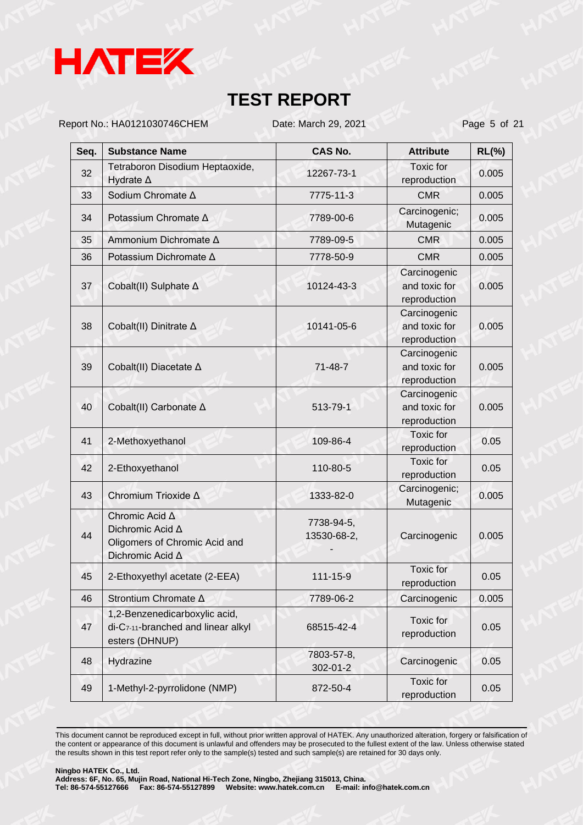

Report No.: HA0121030746CHEM Date: March 29, 2021 Page 5 of 21

| Seq. | <b>Substance Name</b>                                                                   | <b>CAS No.</b>            | <b>Attribute</b>                              | <b>RL(%)</b> |
|------|-----------------------------------------------------------------------------------------|---------------------------|-----------------------------------------------|--------------|
| 32   | Tetraboron Disodium Heptaoxide,<br>Hydrate $\Delta$                                     | 12267-73-1                | <b>Toxic</b> for<br>reproduction              | 0.005        |
| 33   | Sodium Chromate ∆                                                                       | 7775-11-3                 | <b>CMR</b>                                    | 0.005        |
| 34   | Potassium Chromate ∆                                                                    | 7789-00-6                 | Carcinogenic;<br>Mutagenic                    | 0.005        |
| 35   | Ammonium Dichromate Δ                                                                   | 7789-09-5                 | <b>CMR</b>                                    | 0.005        |
| 36   | Potassium Dichromate ∆                                                                  | 7778-50-9                 | <b>CMR</b>                                    | 0.005        |
| 37   | Cobalt(II) Sulphate ∆                                                                   | 10124-43-3                | Carcinogenic<br>and toxic for<br>reproduction | 0.005        |
| 38   | Cobalt(II) Dinitrate ∆                                                                  | 10141-05-6                | Carcinogenic<br>and toxic for<br>reproduction | 0.005        |
| 39   | Cobalt(II) Diacetate ∆                                                                  | 71-48-7                   | Carcinogenic<br>and toxic for<br>reproduction | 0.005        |
| 40   | Cobalt(II) Carbonate ∆                                                                  | 513-79-1                  | Carcinogenic<br>and toxic for<br>reproduction | 0.005        |
| 41   | 2-Methoxyethanol                                                                        | 109-86-4                  | Toxic for<br>reproduction                     | 0.05         |
| 42   | 2-Ethoxyethanol                                                                         | 110-80-5                  | Toxic for<br>reproduction                     | 0.05         |
| 43   | Chromium Trioxide ∆                                                                     | 1333-82-0                 | Carcinogenic;<br>Mutagenic                    | 0.005        |
| 44   | Chromic Acid A<br>Dichromic Acid A<br>Oligomers of Chromic Acid and<br>Dichromic Acid A | 7738-94-5,<br>13530-68-2, | Carcinogenic                                  | 0.005        |
| 45   | 2-Ethoxyethyl acetate (2-EEA)                                                           | 111-15-9                  | Toxic for<br>reproduction                     | 0.05         |
| 46   | Strontium Chromate A                                                                    | 7789-06-2                 | Carcinogenic                                  | 0.005        |
| 47   | 1,2-Benzenedicarboxylic acid,<br>di-C7-11-branched and linear alkyl<br>esters (DHNUP)   | 68515-42-4                | Toxic for<br>reproduction                     | 0.05         |
| 48   | Hydrazine                                                                               | 7803-57-8,<br>302-01-2    | Carcinogenic                                  | 0.05         |
| 49   | 1-Methyl-2-pyrrolidone (NMP)                                                            | 872-50-4                  | <b>Toxic</b> for<br>reproduction              | 0.05         |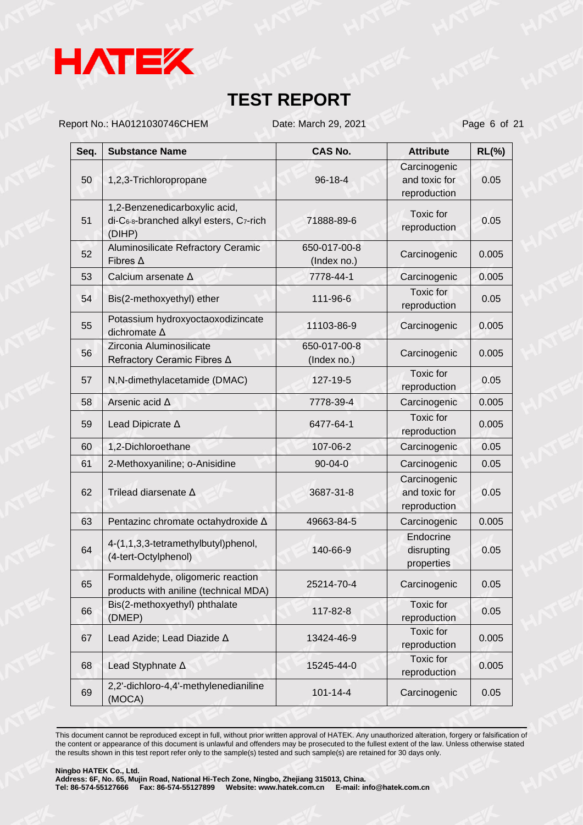

Report No.: HA0121030746CHEM Date: March 29, 2021 Page 6 of 21

| Seq. | <b>Substance Name</b>                                                             | <b>CAS No.</b>              | <b>Attribute</b>                              | $RL(\%)$ |
|------|-----------------------------------------------------------------------------------|-----------------------------|-----------------------------------------------|----------|
| 50   | 1,2,3-Trichloropropane                                                            | 96-18-4                     | Carcinogenic<br>and toxic for<br>reproduction | 0.05     |
| 51   | 1,2-Benzenedicarboxylic acid,<br>di-C6-8-branched alkyl esters, C7-rich<br>(DIHP) | 71888-89-6                  | Toxic for<br>reproduction                     | 0.05     |
| 52   | Aluminosilicate Refractory Ceramic<br>Fibres $\Delta$                             | 650-017-00-8<br>(Index no.) | Carcinogenic                                  | 0.005    |
| 53   | Calcium arsenate ∆                                                                | 7778-44-1                   | Carcinogenic                                  | 0.005    |
| 54   | Bis(2-methoxyethyl) ether                                                         | 111-96-6                    | Toxic for<br>reproduction                     | 0.05     |
| 55   | Potassium hydroxyoctaoxodizincate<br>dichromate A                                 | 11103-86-9                  | Carcinogenic                                  | 0.005    |
| 56   | Zirconia Aluminosilicate<br>Refractory Ceramic Fibres ∆                           | 650-017-00-8<br>(Index no.) | Carcinogenic                                  | 0.005    |
| 57   | N,N-dimethylacetamide (DMAC)                                                      | 127-19-5                    | Toxic for<br>reproduction                     | 0.05     |
| 58   | Arsenic acid A                                                                    | 7778-39-4                   | Carcinogenic                                  | 0.005    |
| 59   | Lead Dipicrate A                                                                  | 6477-64-1                   | <b>Toxic</b> for<br>reproduction              | 0.005    |
| 60   | 1,2-Dichloroethane                                                                | 107-06-2                    | Carcinogenic                                  | 0.05     |
| 61   | 2-Methoxyaniline; o-Anisidine                                                     | 90-04-0                     | Carcinogenic                                  | 0.05     |
| 62   | Trilead diarsenate A                                                              | 3687-31-8                   | Carcinogenic<br>and toxic for<br>reproduction | 0.05     |
| 63   | Pentazinc chromate octahydroxide A                                                | 49663-84-5                  | Carcinogenic                                  | 0.005    |
| 64   | 4-(1,1,3,3-tetramethylbutyl)phenol,<br>(4-tert-Octylphenol)                       | 140-66-9                    | Endocrine<br>disrupting<br>properties         | 0.05     |
| 65   | Formaldehyde, oligomeric reaction<br>products with aniline (technical MDA)        | 25214-70-4                  | Carcinogenic                                  | 0.05     |
| 66   | Bis(2-methoxyethyl) phthalate<br>(DMEP)                                           | 117-82-8                    | Toxic for<br>reproduction                     | 0.05     |
| 67   | Lead Azide; Lead Diazide A                                                        | 13424-46-9                  | Toxic for<br>reproduction                     | 0.005    |
| 68   | Lead Styphnate A                                                                  | 15245-44-0                  | <b>Toxic for</b><br>reproduction              | 0.005    |
| 69   | 2,2'-dichloro-4,4'-methylenedianiline<br>(MOCA)                                   | $101 - 14 - 4$              | Carcinogenic                                  | 0.05     |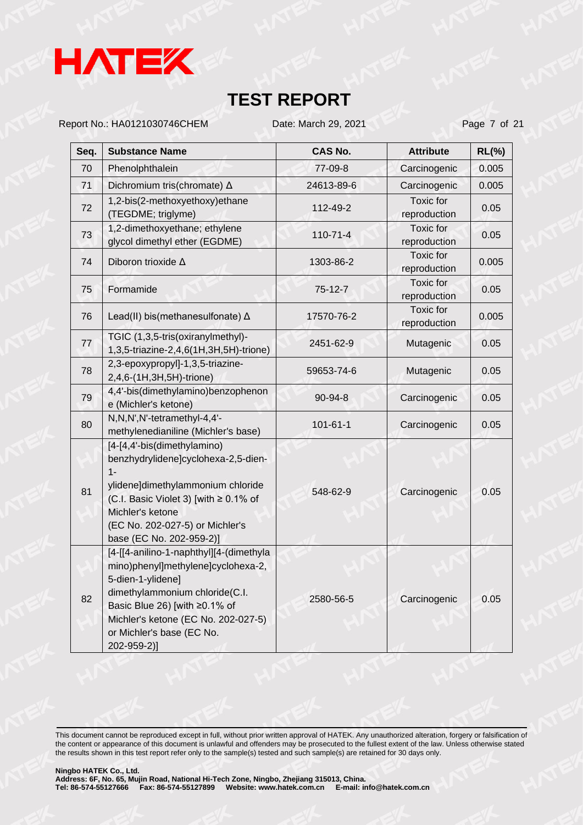

Report No.: HA0121030746CHEM Date: March 29, 2021 Page 7 of 21

| Seq. | <b>Substance Name</b>                                                                                                                                                                                                                                    | <b>CAS No.</b> | <b>Attribute</b>                 | $RL(\%)$ |
|------|----------------------------------------------------------------------------------------------------------------------------------------------------------------------------------------------------------------------------------------------------------|----------------|----------------------------------|----------|
| 70   | Phenolphthalein                                                                                                                                                                                                                                          | 77-09-8        | Carcinogenic                     | 0.005    |
| 71   | Dichromium tris(chromate) △                                                                                                                                                                                                                              | 24613-89-6     | Carcinogenic                     | 0.005    |
| 72   | 1,2-bis(2-methoxyethoxy)ethane<br>(TEGDME; triglyme)                                                                                                                                                                                                     | 112-49-2       | <b>Toxic</b> for<br>reproduction | 0.05     |
| 73   | 1,2-dimethoxyethane; ethylene<br>glycol dimethyl ether (EGDME)                                                                                                                                                                                           | $110 - 71 - 4$ | Toxic for<br>reproduction        | 0.05     |
| 74   | Diboron trioxide A                                                                                                                                                                                                                                       | 1303-86-2      | <b>Toxic</b> for<br>reproduction | 0.005    |
| 75   | Formamide                                                                                                                                                                                                                                                | $75 - 12 - 7$  | <b>Toxic</b> for<br>reproduction | 0.05     |
| 76   | Lead(II) bis(methanesulfonate) $\Delta$                                                                                                                                                                                                                  | 17570-76-2     | <b>Toxic</b> for<br>reproduction | 0.005    |
| 77   | TGIC (1,3,5-tris(oxiranylmethyl)-<br>1,3,5-triazine-2,4,6(1H,3H,5H)-trione)                                                                                                                                                                              | 2451-62-9      | Mutagenic                        | 0.05     |
| 78   | 2,3-epoxypropyl]-1,3,5-triazine-<br>2,4,6-(1H,3H,5H)-trione)                                                                                                                                                                                             | 59653-74-6     | Mutagenic                        | 0.05     |
| 79   | 4,4'-bis(dimethylamino)benzophenon<br>e (Michler's ketone)                                                                                                                                                                                               | 90-94-8        | Carcinogenic                     | 0.05     |
| 80   | N, N, N', N'-tetramethyl-4, 4'-<br>methylenedianiline (Michler's base)                                                                                                                                                                                   | $101 - 61 - 1$ | Carcinogenic                     | 0.05     |
| 81   | [4-[4,4'-bis(dimethylamino)<br>benzhydrylidene]cyclohexa-2,5-dien-<br>$1 -$<br>ylidene]dimethylammonium chloride<br>(C.I. Basic Violet 3) [with ≥ 0.1% of<br>Michler's ketone<br>(EC No. 202-027-5) or Michler's<br>base (EC No. 202-959-2)]             | 548-62-9       | Carcinogenic                     | 0.05     |
| 82   | [4-[[4-anilino-1-naphthyl][4-(dimethyla<br>mino)phenyl]methylene]cyclohexa-2,<br>5-dien-1-ylidene]<br>dimethylammonium chloride(C.I.<br>Basic Blue 26) [with ≥0.1% of<br>Michler's ketone (EC No. 202-027-5)<br>or Michler's base (EC No.<br>202-959-2)] | 2580-56-5      | Carcinogenic                     | 0.05     |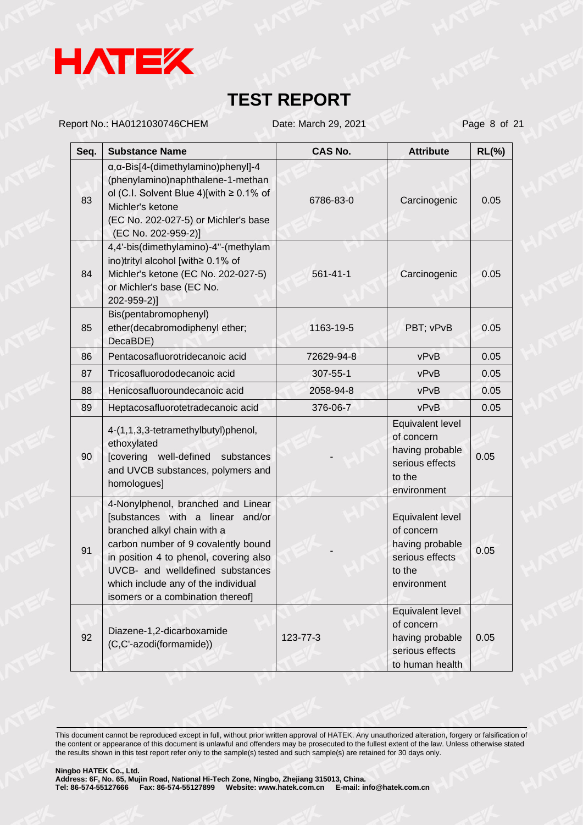

Report No.: HA0121030746CHEM Date: March 29, 2021 Page 8 of 21

| Seq. | <b>Substance Name</b>                                                                                                                                                                                                                                                                                  | <b>CAS No.</b> | <b>Attribute</b>                                                                              | $RL(\%)$ |
|------|--------------------------------------------------------------------------------------------------------------------------------------------------------------------------------------------------------------------------------------------------------------------------------------------------------|----------------|-----------------------------------------------------------------------------------------------|----------|
| 83   | $\alpha$ , $\alpha$ -Bis[4-(dimethylamino)phenyl]-4<br>(phenylamino)naphthalene-1-methan<br>ol (C.I. Solvent Blue 4)[with $\geq$ 0.1% of<br>Michler's ketone<br>(EC No. 202-027-5) or Michler's base<br>(EC No. 202-959-2)]                                                                            | 6786-83-0      | Carcinogenic                                                                                  | 0.05     |
| 84   | 4,4'-bis(dimethylamino)-4"-(methylam<br>ino)trityl alcohol [with≥ 0.1% of<br>Michler's ketone (EC No. 202-027-5)<br>or Michler's base (EC No.<br>202-959-2)]                                                                                                                                           | 561-41-1       | Carcinogenic                                                                                  | 0.05     |
| 85   | Bis(pentabromophenyl)<br>ether(decabromodiphenyl ether;<br>DecaBDE)                                                                                                                                                                                                                                    | 1163-19-5      | PBT; vPvB                                                                                     | 0.05     |
| 86   | Pentacosafluorotridecanoic acid                                                                                                                                                                                                                                                                        | 72629-94-8     | vPvB                                                                                          | 0.05     |
| 87   | Tricosafluorododecanoic acid                                                                                                                                                                                                                                                                           | 307-55-1       | vPvB                                                                                          | 0.05     |
| 88   | Henicosafluoroundecanoic acid                                                                                                                                                                                                                                                                          | 2058-94-8      | vPvB                                                                                          | 0.05     |
| 89   | Heptacosafluorotetradecanoic acid                                                                                                                                                                                                                                                                      | 376-06-7       | vPvB                                                                                          | 0.05     |
| 90   | 4-(1,1,3,3-tetramethylbutyl)phenol,<br>ethoxylated<br>[covering well-defined<br>substances<br>and UVCB substances, polymers and<br>homologues]                                                                                                                                                         |                | Equivalent level<br>of concern<br>having probable<br>serious effects<br>to the<br>environment | 0.05     |
| 91   | 4-Nonylphenol, branched and Linear<br>[substances with a linear and/or<br>branched alkyl chain with a<br>carbon number of 9 covalently bound<br>in position 4 to phenol, covering also<br>UVCB- and welldefined substances<br>which include any of the individual<br>isomers or a combination thereof] |                | Equivalent level<br>of concern<br>having probable<br>serious effects<br>to the<br>environment | 0.05     |
| 92   | Diazene-1,2-dicarboxamide<br>(C,C'-azodi(formamide))                                                                                                                                                                                                                                                   | 123-77-3       | Equivalent level<br>of concern<br>having probable<br>serious effects<br>to human health       | 0.05     |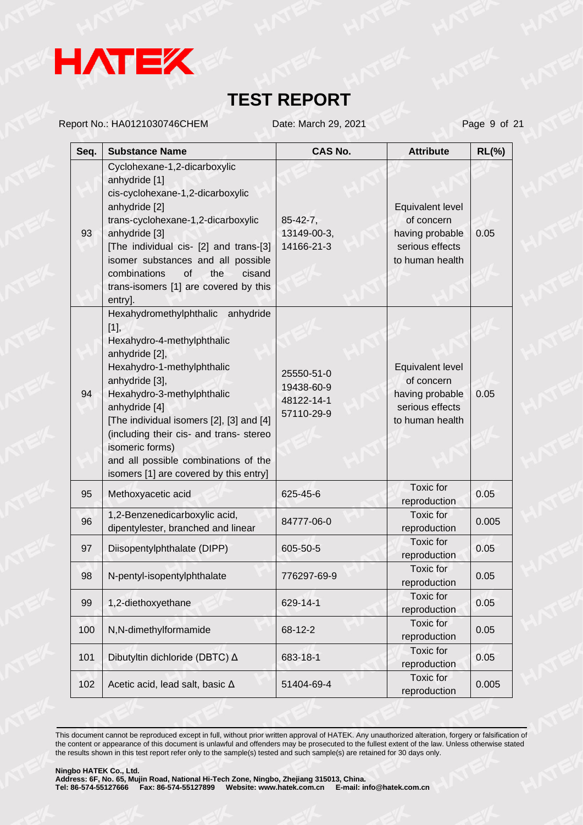

Report No.: HA0121030746CHEM Date: March 29, 2021 Page 9 of 21

| Seq. | <b>Substance Name</b>                                                                                                                                                                                                                                                                                                                                                                   | <b>CAS No.</b>                                       | <b>Attribute</b>                                                                        | $RL(\%)$ |
|------|-----------------------------------------------------------------------------------------------------------------------------------------------------------------------------------------------------------------------------------------------------------------------------------------------------------------------------------------------------------------------------------------|------------------------------------------------------|-----------------------------------------------------------------------------------------|----------|
| 93   | Cyclohexane-1,2-dicarboxylic<br>anhydride [1]<br>cis-cyclohexane-1,2-dicarboxylic<br>anhydride [2]<br>trans-cyclohexane-1,2-dicarboxylic<br>anhydride [3]<br>[The individual cis- [2] and trans-[3]<br>isomer substances and all possible<br>combinations<br>of<br>the<br>cisand<br>trans-isomers [1] are covered by this<br>entry].                                                    | $85 - 42 - 7$ ,<br>13149-00-3,<br>14166-21-3         | Equivalent level<br>of concern<br>having probable<br>serious effects<br>to human health | 0.05     |
| 94   | Hexahydromethylphthalic anhydride<br>$[1]$ ,<br>Hexahydro-4-methylphthalic<br>anhydride [2],<br>Hexahydro-1-methylphthalic<br>anhydride [3],<br>Hexahydro-3-methylphthalic<br>anhydride [4]<br>[The individual isomers [2], [3] and [4]<br>(including their cis- and trans- stereo<br>isomeric forms)<br>and all possible combinations of the<br>isomers [1] are covered by this entry] | 25550-51-0<br>19438-60-9<br>48122-14-1<br>57110-29-9 | Equivalent level<br>of concern<br>having probable<br>serious effects<br>to human health | 0.05     |
| 95   | Methoxyacetic acid                                                                                                                                                                                                                                                                                                                                                                      | 625-45-6                                             | Toxic for<br>reproduction                                                               | 0.05     |
| 96   | 1,2-Benzenedicarboxylic acid,<br>dipentylester, branched and linear                                                                                                                                                                                                                                                                                                                     | 84777-06-0                                           | Toxic for<br>reproduction                                                               | 0.005    |
| 97   | Diisopentylphthalate (DIPP)                                                                                                                                                                                                                                                                                                                                                             | 605-50-5                                             | Toxic for<br>reproduction                                                               | 0.05     |
| 98   | N-pentyl-isopentylphthalate                                                                                                                                                                                                                                                                                                                                                             | 776297-69-9                                          | Toxic for<br>reproduction                                                               | 0.05     |
| 99   | 1,2-diethoxyethane                                                                                                                                                                                                                                                                                                                                                                      | 629-14-1                                             | Toxic for<br>reproduction                                                               | 0.05     |
| 100  | N,N-dimethylformamide                                                                                                                                                                                                                                                                                                                                                                   | 68-12-2                                              | Toxic for<br>reproduction                                                               | 0.05     |
| 101  | Dibutyltin dichloride (DBTC) △                                                                                                                                                                                                                                                                                                                                                          | 683-18-1                                             | Toxic for<br>reproduction                                                               | 0.05     |
| 102  | Acetic acid, lead salt, basic $\Delta$                                                                                                                                                                                                                                                                                                                                                  | 51404-69-4                                           | Toxic for<br>reproduction                                                               | 0.005    |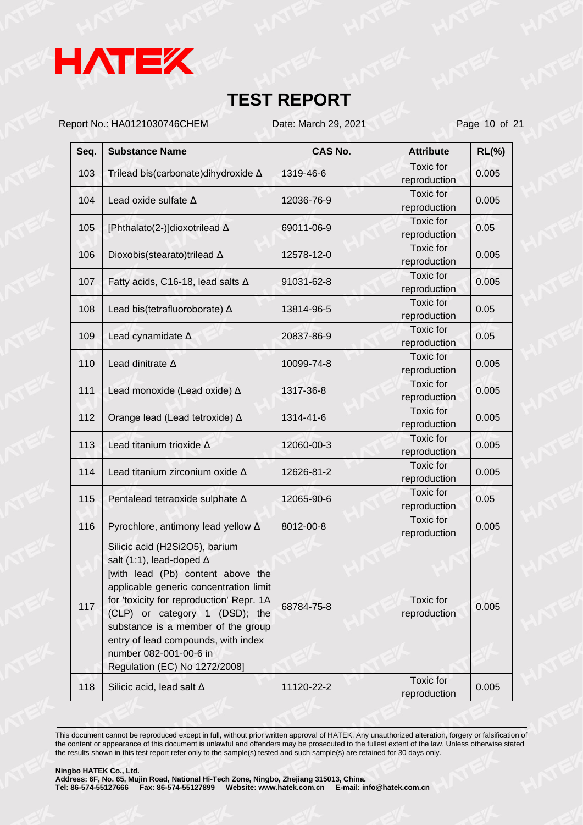

Report No.: HA0121030746CHEM Date: March 29, 2021 Page 10 of 21

| Seq. | <b>Substance Name</b>                                                                                                                                                                                                                                                                                                                                                  | <b>CAS No.</b> | <b>Attribute</b>                 | $RL(\%)$ |
|------|------------------------------------------------------------------------------------------------------------------------------------------------------------------------------------------------------------------------------------------------------------------------------------------------------------------------------------------------------------------------|----------------|----------------------------------|----------|
| 103  | Trilead bis(carbonate)dihydroxide ∆                                                                                                                                                                                                                                                                                                                                    | 1319-46-6      | <b>Toxic</b> for<br>reproduction | 0.005    |
| 104  | Lead oxide sulfate $\Delta$                                                                                                                                                                                                                                                                                                                                            | 12036-76-9     | <b>Toxic</b> for<br>reproduction | 0.005    |
| 105  | [Phthalato(2-)]dioxotrilead ∆                                                                                                                                                                                                                                                                                                                                          | 69011-06-9     | Toxic for<br>reproduction        | 0.05     |
| 106  | Dioxobis(stearato)trilead A                                                                                                                                                                                                                                                                                                                                            | 12578-12-0     | <b>Toxic</b> for<br>reproduction | 0.005    |
| 107  | Fatty acids, C16-18, lead salts $\Delta$                                                                                                                                                                                                                                                                                                                               | 91031-62-8     | <b>Toxic</b> for<br>reproduction | 0.005    |
| 108  | Lead bis(tetrafluoroborate) $\Delta$                                                                                                                                                                                                                                                                                                                                   | 13814-96-5     | <b>Toxic</b> for<br>reproduction | 0.05     |
| 109  | Lead cynamidate A                                                                                                                                                                                                                                                                                                                                                      | 20837-86-9     | <b>Toxic</b> for<br>reproduction | 0.05     |
| 110  | Lead dinitrate $\Delta$                                                                                                                                                                                                                                                                                                                                                | 10099-74-8     | <b>Toxic</b> for<br>reproduction | 0.005    |
| 111  | Lead monoxide (Lead oxide) $\Delta$                                                                                                                                                                                                                                                                                                                                    | 1317-36-8      | Toxic for<br>reproduction        | 0.005    |
| 112  | Orange lead (Lead tetroxide) ∆                                                                                                                                                                                                                                                                                                                                         | 1314-41-6      | <b>Toxic</b> for<br>reproduction | 0.005    |
| 113  | Lead titanium trioxide A                                                                                                                                                                                                                                                                                                                                               | 12060-00-3     | <b>Toxic</b> for<br>reproduction | 0.005    |
| 114  | Lead titanium zirconium oxide $\Delta$                                                                                                                                                                                                                                                                                                                                 | 12626-81-2     | Toxic for<br>reproduction        | 0.005    |
| 115  | Pentalead tetraoxide sulphate $\Delta$                                                                                                                                                                                                                                                                                                                                 | 12065-90-6     | Toxic for<br>reproduction        | 0.05     |
| 116  | Pyrochlore, antimony lead yellow $\Delta$                                                                                                                                                                                                                                                                                                                              | 8012-00-8      | <b>Toxic</b> for<br>reproduction | 0.005    |
| 117  | Silicic acid (H2Si2O5), barium<br>salt (1:1), lead-doped $\Delta$<br>[with lead (Pb) content above the<br>applicable generic concentration limit<br>for 'toxicity for reproduction' Repr. 1A<br>(CLP) or category 1 (DSD); the<br>substance is a member of the group<br>entry of lead compounds, with index<br>number 082-001-00-6 in<br>Regulation (EC) No 1272/2008] | 68784-75-8     | <b>Toxic</b> for<br>reproduction | 0.005    |
| 118  | Silicic acid, lead salt $\Delta$                                                                                                                                                                                                                                                                                                                                       | 11120-22-2     | Toxic for<br>reproduction        | 0.005    |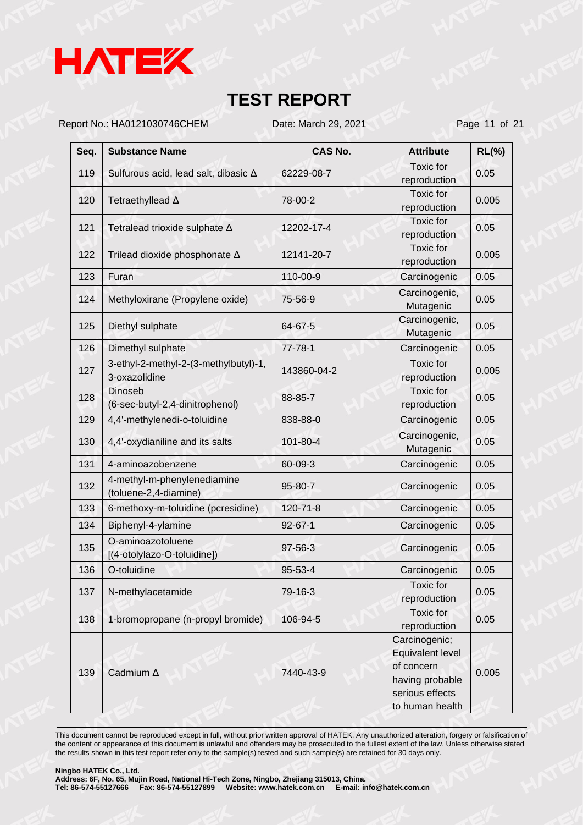

Report No.: HA0121030746CHEM Date: March 29, 2021 Page 11 of 21

| Seq. | <b>Substance Name</b>                                  | <b>CAS No.</b> | <b>Attribute</b>                                 | $RL(\%)$ |
|------|--------------------------------------------------------|----------------|--------------------------------------------------|----------|
| 119  | Sulfurous acid, lead salt, dibasic ∆                   | 62229-08-7     | <b>Toxic</b> for<br>reproduction                 | 0.05     |
| 120  | Tetraethyllead A                                       | 78-00-2        | <b>Toxic</b> for<br>reproduction                 | 0.005    |
| 121  | Tetralead trioxide sulphate $\Delta$                   | 12202-17-4     | Toxic for<br>reproduction                        | 0.05     |
| 122  | Trilead dioxide phosphonate A                          | 12141-20-7     | <b>Toxic</b> for<br>reproduction                 | 0.005    |
| 123  | Furan                                                  | 110-00-9       | Carcinogenic                                     | 0.05     |
| 124  | Methyloxirane (Propylene oxide)                        | 75-56-9        | Carcinogenic,<br>Mutagenic                       | 0.05     |
| 125  | Diethyl sulphate                                       | 64-67-5        | Carcinogenic,<br>Mutagenic                       | 0.05     |
| 126  | Dimethyl sulphate                                      | $77 - 78 - 1$  | Carcinogenic                                     | 0.05     |
| 127  | 3-ethyl-2-methyl-2-(3-methylbutyl)-1,<br>3-oxazolidine | 143860-04-2    | <b>Toxic</b> for<br>reproduction                 | 0.005    |
| 128  | <b>Dinoseb</b><br>(6-sec-butyl-2,4-dinitrophenol)      | 88-85-7        | <b>Toxic</b> for<br>reproduction                 | 0.05     |
| 129  | 4,4'-methylenedi-o-toluidine                           | 838-88-0       | Carcinogenic                                     | 0.05     |
| 130  | 4,4'-oxydianiline and its salts                        | 101-80-4       | Carcinogenic,<br>Mutagenic                       | 0.05     |
| 131  | 4-aminoazobenzene                                      | 60-09-3        | Carcinogenic                                     | 0.05     |
| 132  | 4-methyl-m-phenylenediamine<br>(toluene-2,4-diamine)   | 95-80-7        | Carcinogenic                                     | 0.05     |
| 133  | 6-methoxy-m-toluidine (pcresidine)                     | $120 - 71 - 8$ | Carcinogenic                                     | 0.05     |
| 134  | Biphenyl-4-ylamine                                     | $92 - 67 - 1$  | Carcinogenic                                     | 0.05     |
| 135  | O-aminoazotoluene<br>[(4-otolylazo-O-toluidine])       | 97-56-3        | Carcinogenic                                     | 0.05     |
| 136  | O-toluidine                                            | 95-53-4        | Carcinogenic                                     | 0.05     |
| 137  | N-methylacetamide                                      | 79-16-3        | Toxic for<br>reproduction                        | 0.05     |
| 138  | 1-bromopropane (n-propyl bromide)                      | 106-94-5       | Toxic for<br>reproduction                        | 0.05     |
|      |                                                        |                | Carcinogenic;<br>Equivalent level                |          |
| 139  | Cadmium A                                              | 7440-43-9      | of concern<br>having probable<br>serious effects | 0.005    |
|      |                                                        |                | to human health                                  |          |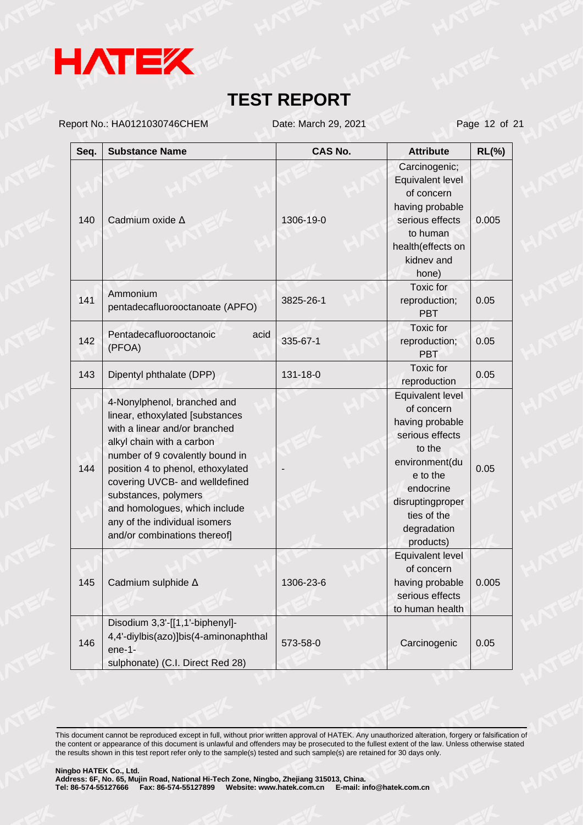

Report No.: HA0121030746CHEM Date: March 29, 2021 Page 12 of 21

| Seq. | <b>Substance Name</b>                                                                                                                                                                                                                                                                                                                                            | <b>CAS No.</b> | <b>Attribute</b>                                                                                                                                                                         | $RL(\%)$ |
|------|------------------------------------------------------------------------------------------------------------------------------------------------------------------------------------------------------------------------------------------------------------------------------------------------------------------------------------------------------------------|----------------|------------------------------------------------------------------------------------------------------------------------------------------------------------------------------------------|----------|
| 140  | Cadmium oxide A                                                                                                                                                                                                                                                                                                                                                  | 1306-19-0      | Carcinogenic;<br>Equivalent level<br>of concern<br>having probable<br>serious effects<br>to human<br>health(effects on<br>kidnev and<br>hone)                                            | 0.005    |
| 141  | Ammonium<br>pentadecafluorooctanoate (APFO)                                                                                                                                                                                                                                                                                                                      | 3825-26-1      | Toxic for<br>reproduction;<br><b>PBT</b>                                                                                                                                                 | 0.05     |
| 142  | Pentadecafluorooctanoic<br>acid<br>(PFOA)                                                                                                                                                                                                                                                                                                                        | 335-67-1       | Toxic for<br>reproduction;<br><b>PBT</b>                                                                                                                                                 | 0.05     |
| 143  | Dipentyl phthalate (DPP)                                                                                                                                                                                                                                                                                                                                         | 131-18-0       | Toxic for<br>reproduction                                                                                                                                                                | 0.05     |
| 144  | 4-Nonylphenol, branched and<br>linear, ethoxylated [substances<br>with a linear and/or branched<br>alkyl chain with a carbon<br>number of 9 covalently bound in<br>position 4 to phenol, ethoxylated<br>covering UVCB- and welldefined<br>substances, polymers<br>and homologues, which include<br>any of the individual isomers<br>and/or combinations thereof] |                | Equivalent level<br>of concern<br>having probable<br>serious effects<br>to the<br>environment(du<br>e to the<br>endocrine<br>disruptingproper<br>ties of the<br>degradation<br>products) | 0.05     |
| 145  | Cadmium sulphide $\Delta$                                                                                                                                                                                                                                                                                                                                        | 1306-23-6      | Equivalent level<br>of concern<br>having probable<br>serious effects<br>to human health                                                                                                  | 0.005    |
| 146  | Disodium 3,3'-[[1,1'-biphenyl]-<br>4,4'-diylbis(azo)]bis(4-aminonaphthal<br>$ene-1-$<br>sulphonate) (C.I. Direct Red 28)                                                                                                                                                                                                                                         | 573-58-0       | Carcinogenic                                                                                                                                                                             | 0.05     |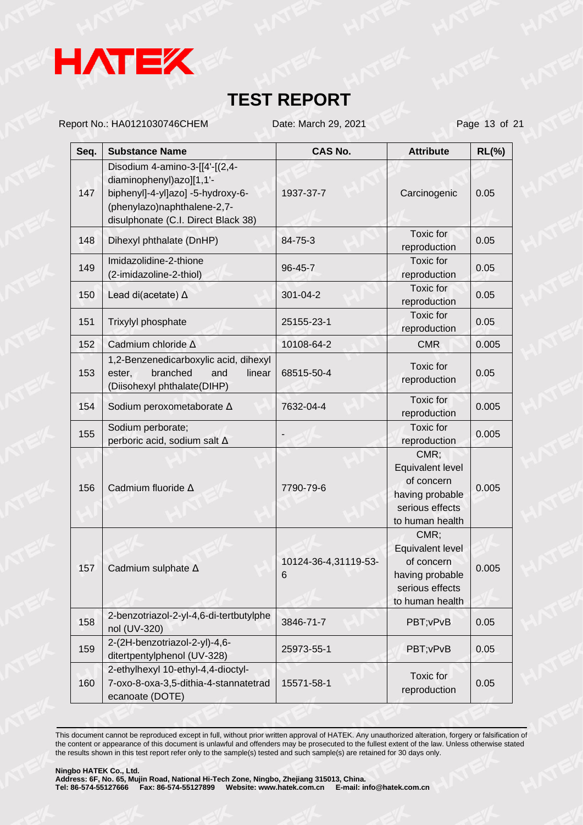

Report No.: HA0121030746CHEM Date: March 29, 2021 Page 13 of 21

| Seq. | <b>Substance Name</b>                                                                                                                                                 | <b>CAS No.</b>            | <b>Attribute</b>                                                                                | $RL(\%)$ |
|------|-----------------------------------------------------------------------------------------------------------------------------------------------------------------------|---------------------------|-------------------------------------------------------------------------------------------------|----------|
| 147  | Disodium 4-amino-3-[[4'-[(2,4-<br>diaminophenyl)azo][1,1'-<br>biphenyl]-4-yl]azo] -5-hydroxy-6-<br>(phenylazo)naphthalene-2,7-<br>disulphonate (C.I. Direct Black 38) | 1937-37-7                 | Carcinogenic                                                                                    | 0.05     |
| 148  | Dihexyl phthalate (DnHP)                                                                                                                                              | 84-75-3                   | Toxic for<br>reproduction                                                                       | 0.05     |
| 149  | Imidazolidine-2-thione<br>(2-imidazoline-2-thiol)                                                                                                                     | 96-45-7                   | Toxic for<br>reproduction                                                                       | 0.05     |
| 150  | Lead di(acetate) ∆                                                                                                                                                    | 301-04-2                  | Toxic for<br>reproduction                                                                       | 0.05     |
| 151  | Trixylyl phosphate                                                                                                                                                    | 25155-23-1                | Toxic for<br>reproduction                                                                       | 0.05     |
| 152  | Cadmium chloride A                                                                                                                                                    | 10108-64-2                | <b>CMR</b>                                                                                      | 0.005    |
| 153  | 1,2-Benzenedicarboxylic acid, dihexyl<br>branched<br>and<br>linear<br>ester,<br>(Diisohexyl phthalate(DIHP)                                                           | 68515-50-4                | Toxic for<br>reproduction                                                                       | 0.05     |
| 154  | Sodium peroxometaborate A                                                                                                                                             | 7632-04-4                 | Toxic for<br>reproduction                                                                       | 0.005    |
| 155  | Sodium perborate;<br>perboric acid, sodium salt $\Delta$                                                                                                              |                           | Toxic for<br>reproduction                                                                       | 0.005    |
| 156  | Cadmium fluoride A                                                                                                                                                    | 7790-79-6                 | CMR;<br>Equivalent level<br>of concern<br>having probable<br>serious effects<br>to human health | 0.005    |
| 157  | Cadmium sulphate A                                                                                                                                                    | 10124-36-4,31119-53-<br>6 | CMR;<br>Equivalent level<br>of concern<br>having probable<br>serious effects<br>to human health | 0.005    |
| 158  | 2-benzotriazol-2-yl-4,6-di-tertbutylphe<br>nol (UV-320)                                                                                                               | 3846-71-7                 | PBT; vPvB                                                                                       | 0.05     |
| 159  | 2-(2H-benzotriazol-2-yl)-4,6-<br>ditertpentylphenol (UV-328)                                                                                                          | 25973-55-1                | PBT; vPvB                                                                                       | 0.05     |
| 160  | 2-ethylhexyl 10-ethyl-4,4-dioctyl-<br>7-oxo-8-oxa-3,5-dithia-4-stannatetrad<br>ecanoate (DOTE)                                                                        | 15571-58-1                | <b>Toxic</b> for<br>reproduction                                                                | 0.05     |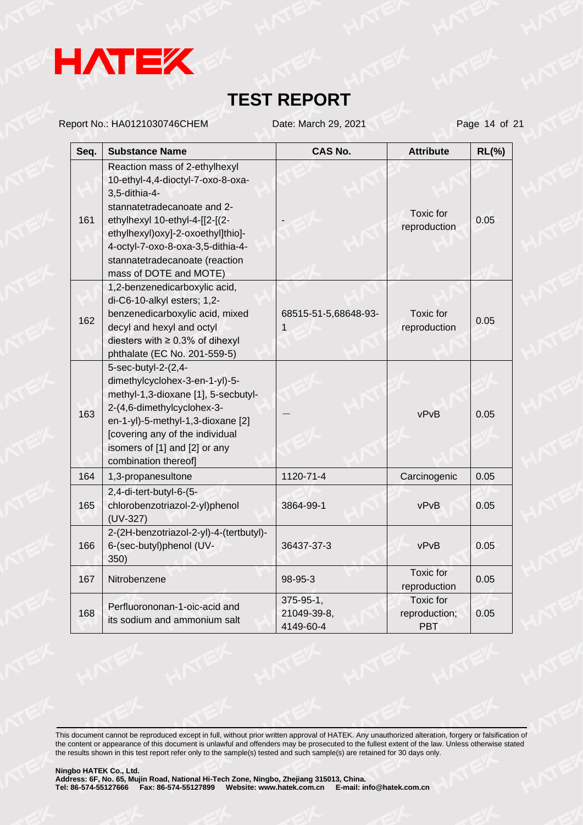

Report No.: HA0121030746CHEM Date: March 29, 2021 Page 14 of 21

| Seq. | <b>Substance Name</b>                                                                                                                                                                                                                                                                      | CAS No.                               | <b>Attribute</b>                                | $RL(\%)$ |
|------|--------------------------------------------------------------------------------------------------------------------------------------------------------------------------------------------------------------------------------------------------------------------------------------------|---------------------------------------|-------------------------------------------------|----------|
| 161  | Reaction mass of 2-ethylhexyl<br>10-ethyl-4,4-dioctyl-7-oxo-8-oxa-<br>3,5-dithia-4-<br>stannatetradecanoate and 2-<br>ethylhexyl 10-ethyl-4-[[2-[(2-<br>ethylhexyl)oxy]-2-oxoethyl]thio]-<br>4-octyl-7-oxo-8-oxa-3,5-dithia-4-<br>stannatetradecanoate (reaction<br>mass of DOTE and MOTE) |                                       | Toxic for<br>reproduction                       | 0.05     |
| 162  | 1,2-benzenedicarboxylic acid,<br>di-C6-10-alkyl esters; 1,2-<br>benzenedicarboxylic acid, mixed<br>decyl and hexyl and octyl<br>diesters with $\geq 0.3\%$ of dihexyl<br>phthalate (EC No. 201-559-5)                                                                                      | 68515-51-5,68648-93-<br>1             | <b>Toxic</b> for<br>reproduction                | 0.05     |
| 163  | 5-sec-butyl-2-(2,4-<br>dimethylcyclohex-3-en-1-yl)-5-<br>methyl-1,3-dioxane [1], 5-secbutyl-<br>2-(4,6-dimethylcyclohex-3-<br>en-1-yl)-5-methyl-1,3-dioxane [2]<br>[covering any of the individual<br>isomers of [1] and [2] or any<br>combination thereof]                                |                                       | vPvB                                            | 0.05     |
| 164  | 1,3-propanesultone                                                                                                                                                                                                                                                                         | 1120-71-4                             | Carcinogenic                                    | 0.05     |
| 165  | 2,4-di-tert-butyl-6-(5-<br>chlorobenzotriazol-2-yl)phenol<br>$(UV-327)$                                                                                                                                                                                                                    | 3864-99-1                             | vPvB                                            | 0.05     |
| 166  | 2-(2H-benzotriazol-2-yl)-4-(tertbutyl)-<br>6-(sec-butyl)phenol (UV-<br>350)                                                                                                                                                                                                                | 36437-37-3                            | vPvB                                            | 0.05     |
| 167  | Nitrobenzene                                                                                                                                                                                                                                                                               | 98-95-3                               | <b>Toxic</b> for<br>reproduction                | 0.05     |
| 168  | Perfluorononan-1-oic-acid and<br>its sodium and ammonium salt                                                                                                                                                                                                                              | 375-95-1,<br>21049-39-8,<br>4149-60-4 | <b>Toxic</b> for<br>reproduction;<br><b>PBT</b> | 0.05     |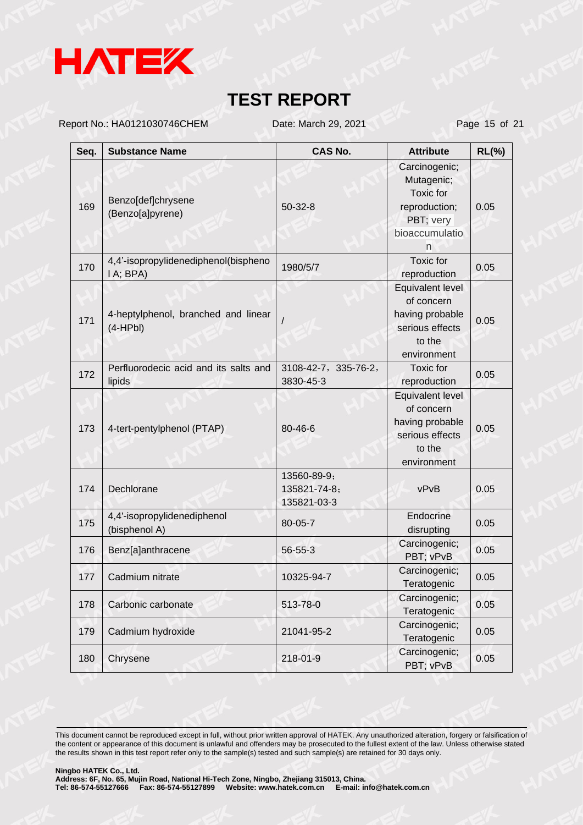

Report No.: HA0121030746CHEM Date: March 29, 2021 Page 15 of 21

| Seq. | <b>Substance Name</b>                             | <b>CAS No.</b>                             | <b>Attribute</b>                                                                                     | $RL(\%)$ |
|------|---------------------------------------------------|--------------------------------------------|------------------------------------------------------------------------------------------------------|----------|
| 169  | Benzo[def]chrysene<br>(Benzo[a]pyrene)            | $50 - 32 - 8$                              | Carcinogenic;<br>Mutagenic;<br><b>Toxic</b> for<br>reproduction;<br>PBT; very<br>bioaccumulatio<br>n | 0.05     |
| 170  | 4,4'-isopropylidenediphenol(bispheno<br>I A; BPA) | 1980/5/7                                   | <b>Toxic</b> for<br>reproduction                                                                     | 0.05     |
| 171  | 4-heptylphenol, branched and linear<br>$(4-HPbl)$ |                                            | Equivalent level<br>of concern<br>having probable<br>serious effects<br>to the<br>environment        | 0.05     |
| 172  | Perfluorodecic acid and its salts and<br>lipids   | 3108-42-7, 335-76-2,<br>3830-45-3          | <b>Toxic</b> for<br>reproduction                                                                     | 0.05     |
| 173  | 4-tert-pentylphenol (PTAP)                        | 80-46-6                                    | Equivalent level<br>of concern<br>having probable<br>serious effects<br>to the<br>environment        | 0.05     |
| 174  | Dechlorane                                        | 13560-89-9;<br>135821-74-8;<br>135821-03-3 | vPvB                                                                                                 | 0.05     |
| 175  | 4,4'-isopropylidenediphenol<br>(bisphenol A)      | 80-05-7                                    | Endocrine<br>disrupting                                                                              | 0.05     |
| 176  | Benz[a]anthracene                                 | $56 - 55 - 3$                              | Carcinogenic;<br>PBT; vPvB                                                                           | 0.05     |
| 177  | Cadmium nitrate                                   | 10325-94-7                                 | Carcinogenic;<br>Teratogenic                                                                         | 0.05     |
| 178  | Carbonic carbonate                                | 513-78-0                                   | Carcinogenic;<br>Teratogenic                                                                         | 0.05     |
| 179  | Cadmium hydroxide                                 | 21041-95-2                                 | Carcinogenic;<br>Teratogenic                                                                         | 0.05     |
| 180  | Chrysene                                          | 218-01-9                                   | Carcinogenic;<br>PBT; vPvB                                                                           | 0.05     |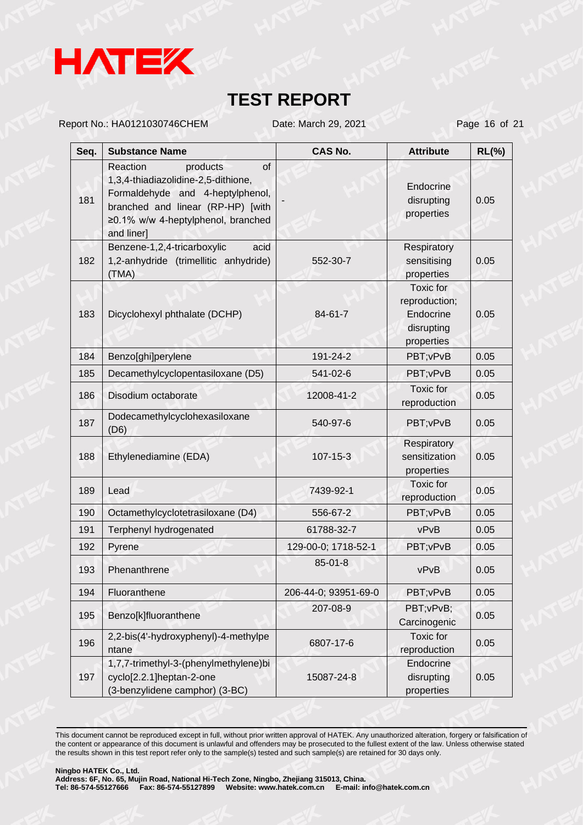

Report No.: HA0121030746CHEM Date: March 29, 2021 Page 16 of 21

| Seq. | <b>Substance Name</b>                                                                                                                                                                          | <b>CAS No.</b>       | <b>Attribute</b>                                                    | $RL(\%)$ |
|------|------------------------------------------------------------------------------------------------------------------------------------------------------------------------------------------------|----------------------|---------------------------------------------------------------------|----------|
| 181  | of<br>Reaction<br>products<br>1,3,4-thiadiazolidine-2,5-dithione,<br>Formaldehyde and 4-heptylphenol,<br>branched and linear (RP-HP) [with<br>≥0.1% w/w 4-heptylphenol, branched<br>and liner] |                      | Endocrine<br>disrupting<br>properties                               | 0.05     |
| 182  | Benzene-1,2,4-tricarboxylic<br>acid<br>1,2-anhydride (trimellitic anhydride)<br>(TMA)                                                                                                          | 552-30-7             | Respiratory<br>sensitising<br>properties                            | 0.05     |
| 183  | Dicyclohexyl phthalate (DCHP)                                                                                                                                                                  | 84-61-7              | Toxic for<br>reproduction;<br>Endocrine<br>disrupting<br>properties | 0.05     |
| 184  | Benzo[ghi]perylene                                                                                                                                                                             | 191-24-2             | PBT; vPvB                                                           | 0.05     |
| 185  | Decamethylcyclopentasiloxane (D5)                                                                                                                                                              | 541-02-6             | PBT; vPvB                                                           | 0.05     |
| 186  | Disodium octaborate                                                                                                                                                                            | 12008-41-2           | <b>Toxic</b> for<br>reproduction                                    | 0.05     |
| 187  | Dodecamethylcyclohexasiloxane<br>(D6)                                                                                                                                                          | 540-97-6             | PBT; vPvB                                                           | 0.05     |
| 188  | Ethylenediamine (EDA)                                                                                                                                                                          | $107 - 15 - 3$       | Respiratory<br>sensitization<br>properties                          | 0.05     |
| 189  | Lead                                                                                                                                                                                           | 7439-92-1            | Toxic for<br>reproduction                                           | 0.05     |
| 190  | Octamethylcyclotetrasiloxane (D4)                                                                                                                                                              | 556-67-2             | PBT; vPvB                                                           | 0.05     |
| 191  | Terphenyl hydrogenated                                                                                                                                                                         | 61788-32-7           | vPvB                                                                | 0.05     |
| 192  | Pyrene                                                                                                                                                                                         | 129-00-0; 1718-52-1  | PBT; vPvB                                                           | 0.05     |
| 193  | Phenanthrene                                                                                                                                                                                   | $85 - 01 - 8$        | vPvB                                                                | 0.05     |
| 194  | Fluoranthene                                                                                                                                                                                   | 206-44-0; 93951-69-0 | PBT; vPvB                                                           | 0.05     |
| 195  | Benzo[k]fluoranthene                                                                                                                                                                           | 207-08-9             | PBT; vPvB;<br>Carcinogenic                                          | 0.05     |
| 196  | 2,2-bis(4'-hydroxyphenyl)-4-methylpe<br>ntane                                                                                                                                                  | 6807-17-6            | Toxic for<br>reproduction                                           | 0.05     |
| 197  | 1,7,7-trimethyl-3-(phenylmethylene)bi<br>cyclo[2.2.1]heptan-2-one<br>(3-benzylidene camphor) (3-BC)                                                                                            | 15087-24-8           | Endocrine<br>disrupting<br>properties                               | 0.05     |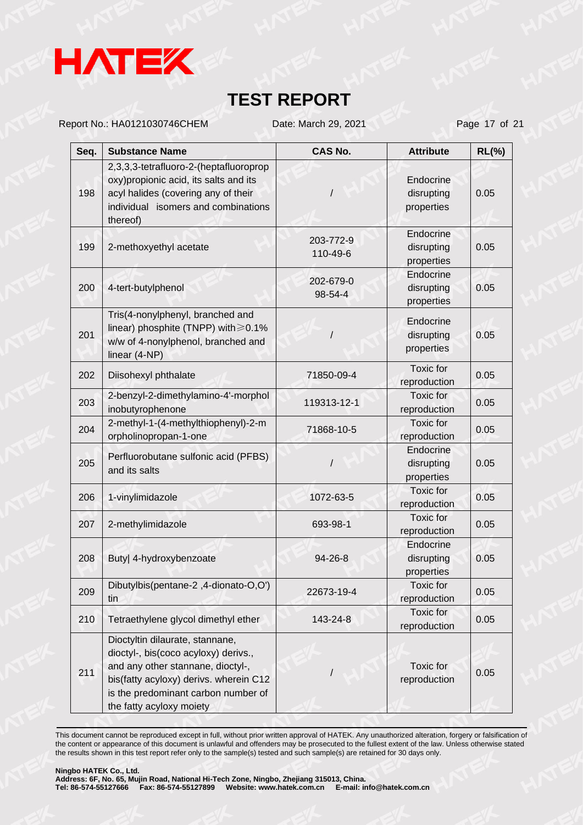

Report No.: HA0121030746CHEM Date: March 29, 2021 Page 17 of 21

| Seq. | <b>Substance Name</b>                                                                                                                                                                                                     | <b>CAS No.</b>        | <b>Attribute</b>                      | $RL(\%)$ |
|------|---------------------------------------------------------------------------------------------------------------------------------------------------------------------------------------------------------------------------|-----------------------|---------------------------------------|----------|
| 198  | 2,3,3,3-tetrafluoro-2-(heptafluoroprop<br>oxy) propionic acid, its salts and its<br>acyl halides (covering any of their<br>individual isomers and combinations<br>thereof)                                                |                       | Endocrine<br>disrupting<br>properties | 0.05     |
| 199  | 2-methoxyethyl acetate                                                                                                                                                                                                    | 203-772-9<br>110-49-6 | Endocrine<br>disrupting<br>properties | 0.05     |
| 200  | 4-tert-butylphenol                                                                                                                                                                                                        | 202-679-0<br>98-54-4  | Endocrine<br>disrupting<br>properties | 0.05     |
| 201  | Tris(4-nonylphenyl, branched and<br>linear) phosphite (TNPP) with $\geq 0.1\%$<br>w/w of 4-nonylphenol, branched and<br>linear (4-NP)                                                                                     |                       | Endocrine<br>disrupting<br>properties | 0.05     |
| 202  | Diisohexyl phthalate                                                                                                                                                                                                      | 71850-09-4            | Toxic for<br>reproduction             | 0.05     |
| 203  | 2-benzyl-2-dimethylamino-4'-morphol<br>inobutyrophenone                                                                                                                                                                   | 119313-12-1           | Toxic for<br>reproduction             | 0.05     |
| 204  | 2-methyl-1-(4-methylthiophenyl)-2-m<br>orpholinopropan-1-one                                                                                                                                                              | 71868-10-5            | Toxic for<br>reproduction             | 0.05     |
| 205  | Perfluorobutane sulfonic acid (PFBS)<br>and its salts                                                                                                                                                                     |                       | Endocrine<br>disrupting<br>properties | 0.05     |
| 206  | 1-vinylimidazole                                                                                                                                                                                                          | 1072-63-5             | Toxic for<br>reproduction             | 0.05     |
| 207  | 2-methylimidazole                                                                                                                                                                                                         | 693-98-1              | <b>Toxic</b> for<br>reproduction      | 0.05     |
| 208  | Buty  4-hydroxybenzoate                                                                                                                                                                                                   | $94 - 26 - 8$         | Endocrine<br>disrupting<br>properties | 0.05     |
| 209  | Dibutylbis(pentane-2,4-dionato-O,O')<br>tin                                                                                                                                                                               | 22673-19-4            | Toxic for<br>reproduction             | 0.05     |
| 210  | Tetraethylene glycol dimethyl ether                                                                                                                                                                                       | 143-24-8              | Toxic for<br>reproduction             | 0.05     |
| 211  | Dioctyltin dilaurate, stannane,<br>dioctyl-, bis(coco acyloxy) derivs.,<br>and any other stannane, dioctyl-,<br>bis(fatty acyloxy) derivs. wherein C12<br>is the predominant carbon number of<br>the fatty acyloxy moiety |                       | Toxic for<br>reproduction             | 0.05     |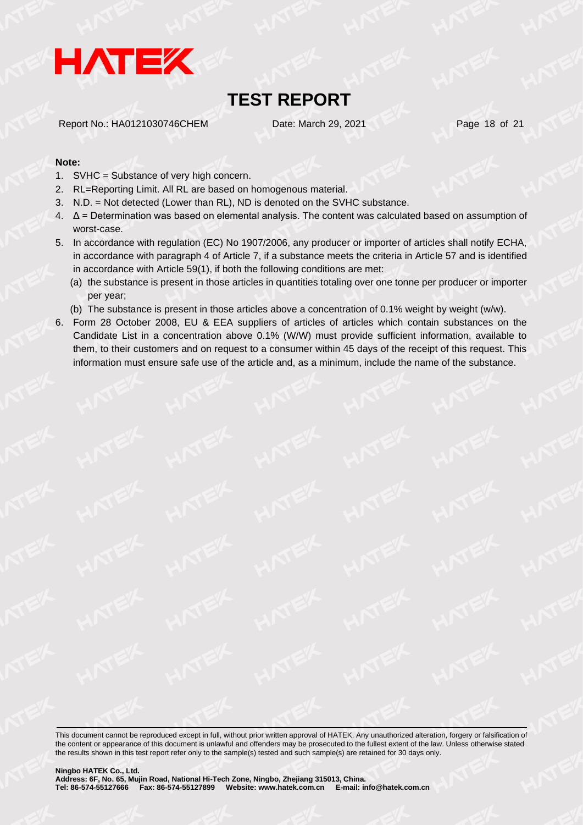

Report No.: HA0121030746CHEM Date: March 29, 2021 Page 18 of 21

#### **Note:**

- 1. SVHC = Substance of very high concern.
- 2. RL=Reporting Limit. All RL are based on homogenous material.
- 3. N.D. = Not detected (Lower than RL), ND is denoted on the SVHC substance.
- 4. Δ = Determination was based on elemental analysis. The content was calculated based on assumption of worst-case.
- 5. In accordance with regulation (EC) No 1907/2006, any producer or importer of articles shall notify ECHA, in accordance with paragraph 4 of Article 7, if a substance meets the criteria in Article 57 and is identified in accordance with Article 59(1), if both the following conditions are met:
	- (a) the substance is present in those articles in quantities totaling over one tonne per producer or importer per year;
	- (b) The substance is present in those articles above a concentration of 0.1% weight by weight (w/w).
- 6. Form 28 October 2008, EU & EEA suppliers of articles of articles which contain substances on the Candidate List in a concentration above 0.1% (W/W) must provide sufficient information, available to them, to their customers and on request to a consumer within 45 days of the receipt of this request. This information must ensure safe use of the article and, as a minimum, include the name of the substance.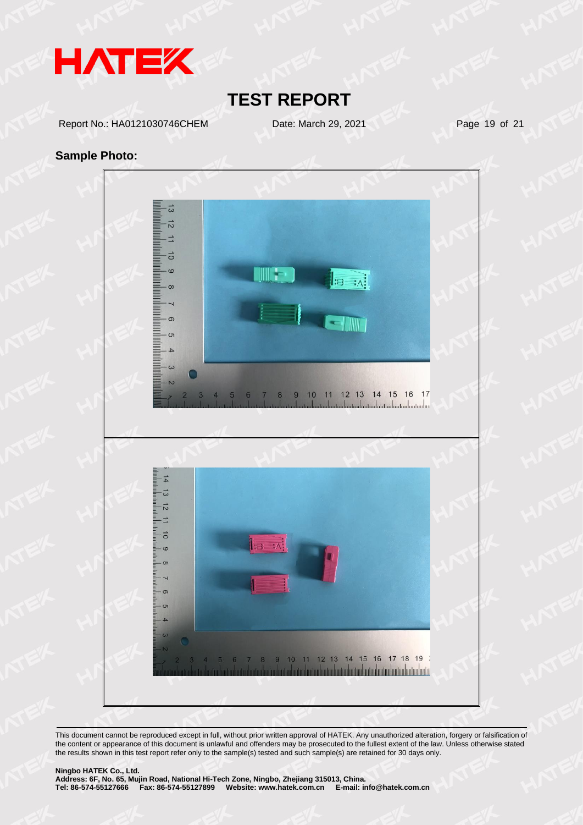

Report No.: HA0121030746CHEM Date: March 29, 2021 Page 19 of 21

#### **Sample Photo:**

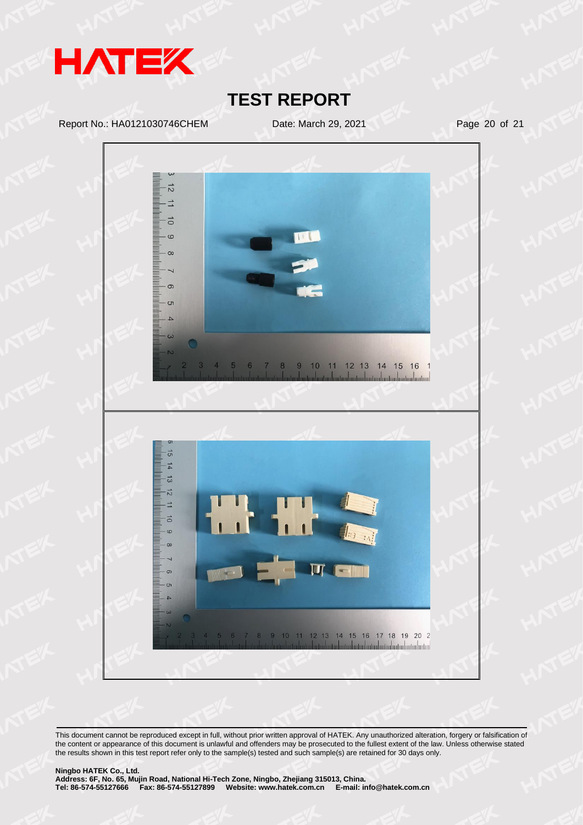

Report No.: HA0121030746CHEM Date: March 29, 2021 Page 20 of 21